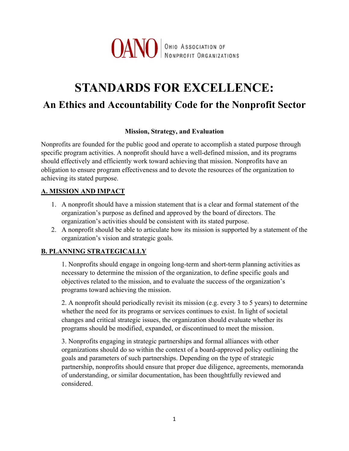

# **STANDARDS FOR EXCELLENCE: An Ethics and Accountability Code for the Nonprofit Sector**

#### **Mission, Strategy, and Evaluation**

Nonprofits are founded for the public good and operate to accomplish a stated purpose through specific program activities. A nonprofit should have a well-defined mission, and its programs should effectively and efficiently work toward achieving that mission. Nonprofits have an obligation to ensure program effectiveness and to devote the resources of the organization to achieving its stated purpose.

#### **A. MISSION AND IMPACT**

- 1. A nonprofit should have a mission statement that is a clear and formal statement of the organization's purpose as defined and approved by the board of directors. The organization's activities should be consistent with its stated purpose.
- 2. A nonprofit should be able to articulate how its mission is supported by a statement of the organization's vision and strategic goals.

#### **B. PLANNING STRATEGICALLY**

1. Nonprofits should engage in ongoing long-term and short-term planning activities as necessary to determine the mission of the organization, to define specific goals and objectives related to the mission, and to evaluate the success of the organization's programs toward achieving the mission.

2. A nonprofit should periodically revisit its mission (e.g. every 3 to 5 years) to determine whether the need for its programs or services continues to exist. In light of societal changes and critical strategic issues, the organization should evaluate whether its programs should be modified, expanded, or discontinued to meet the mission.

3. Nonprofits engaging in strategic partnerships and formal alliances with other organizations should do so within the context of a board-approved policy outlining the goals and parameters of such partnerships. Depending on the type of strategic partnership, nonprofits should ensure that proper due diligence, agreements, memoranda of understanding, or similar documentation, has been thoughtfully reviewed and considered.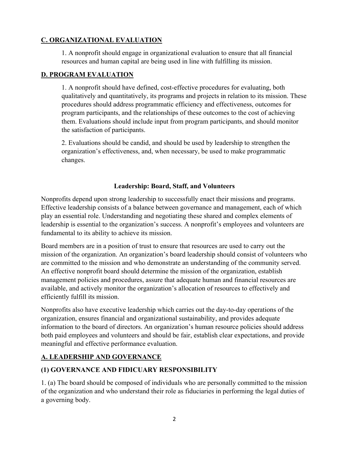#### **C. ORGANIZATIONAL EVALUATION**

1. A nonprofit should engage in organizational evaluation to ensure that all financial resources and human capital are being used in line with fulfilling its mission.

#### **D. PROGRAM EVALUATION**

1. A nonprofit should have defined, cost-effective procedures for evaluating, both qualitatively and quantitatively, its programs and projects in relation to its mission. These procedures should address programmatic efficiency and effectiveness, outcomes for program participants, and the relationships of these outcomes to the cost of achieving them. Evaluations should include input from program participants, and should monitor the satisfaction of participants.

2. Evaluations should be candid, and should be used by leadership to strengthen the organization's effectiveness, and, when necessary, be used to make programmatic changes.

#### **Leadership: Board, Staff, and Volunteers**

Nonprofits depend upon strong leadership to successfully enact their missions and programs. Effective leadership consists of a balance between governance and management, each of which play an essential role. Understanding and negotiating these shared and complex elements of leadership is essential to the organization's success. A nonprofit's employees and volunteers are fundamental to its ability to achieve its mission.

Board members are in a position of trust to ensure that resources are used to carry out the mission of the organization. An organization's board leadership should consist of volunteers who are committed to the mission and who demonstrate an understanding of the community served. An effective nonprofit board should determine the mission of the organization, establish management policies and procedures, assure that adequate human and financial resources are available, and actively monitor the organization's allocation of resources to effectively and efficiently fulfill its mission.

Nonprofits also have executive leadership which carries out the day-to-day operations of the organization, ensures financial and organizational sustainability, and provides adequate information to the board of directors. An organization's human resource policies should address both paid employees and volunteers and should be fair, establish clear expectations, and provide meaningful and effective performance evaluation.

# **A. LEADERSHIP AND GOVERNANCE**

#### **(1) GOVERNANCE AND FIDICUARY RESPONSIBILITY**

1. (a) The board should be composed of individuals who are personally committed to the mission of the organization and who understand their role as fiduciaries in performing the legal duties of a governing body.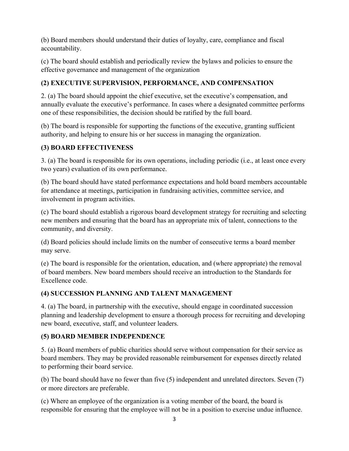(b) Board members should understand their duties of loyalty, care, compliance and fiscal accountability.

(c) The board should establish and periodically review the bylaws and policies to ensure the effective governance and management of the organization

## **(2) EXECUTIVE SUPERVISION, PERFORMANCE, AND COMPENSATION**

2. (a) The board should appoint the chief executive, set the executive's compensation, and annually evaluate the executive's performance. In cases where a designated committee performs one of these responsibilities, the decision should be ratified by the full board.

(b) The board is responsible for supporting the functions of the executive, granting sufficient authority, and helping to ensure his or her success in managing the organization.

#### **(3) BOARD EFFECTIVENESS**

3. (a) The board is responsible for its own operations, including periodic (i.e., at least once every two years) evaluation of its own performance.

(b) The board should have stated performance expectations and hold board members accountable for attendance at meetings, participation in fundraising activities, committee service, and involvement in program activities.

(c) The board should establish a rigorous board development strategy for recruiting and selecting new members and ensuring that the board has an appropriate mix of talent, connections to the community, and diversity.

(d) Board policies should include limits on the number of consecutive terms a board member may serve.

(e) The board is responsible for the orientation, education, and (where appropriate) the removal of board members. New board members should receive an introduction to the Standards for Excellence code.

#### **(4) SUCCESSION PLANNING AND TALENT MANAGEMENT**

4. (a) The board, in partnership with the executive, should engage in coordinated succession planning and leadership development to ensure a thorough process for recruiting and developing new board, executive, staff, and volunteer leaders.

# **(5) BOARD MEMBER INDEPENDENCE**

5. (a) Board members of public charities should serve without compensation for their service as board members. They may be provided reasonable reimbursement for expenses directly related to performing their board service.

(b) The board should have no fewer than five (5) independent and unrelated directors. Seven (7) or more directors are preferable.

(c) Where an employee of the organization is a voting member of the board, the board is responsible for ensuring that the employee will not be in a position to exercise undue influence.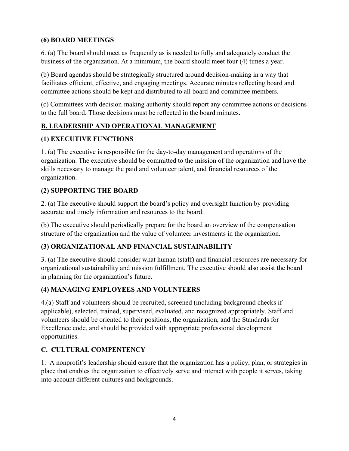#### **(6) BOARD MEETINGS**

6. (a) The board should meet as frequently as is needed to fully and adequately conduct the business of the organization. At a minimum, the board should meet four (4) times a year.

(b) Board agendas should be strategically structured around decision-making in a way that facilitates efficient, effective, and engaging meetings. Accurate minutes reflecting board and committee actions should be kept and distributed to all board and committee members.

(c) Committees with decision-making authority should report any committee actions or decisions to the full board. Those decisions must be reflected in the board minutes.

# **B. LEADERSHIP AND OPERATIONAL MANAGEMENT**

#### **(1) EXECUTIVE FUNCTIONS**

1. (a) The executive is responsible for the day-to-day management and operations of the organization. The executive should be committed to the mission of the organization and have the skills necessary to manage the paid and volunteer talent, and financial resources of the organization.

# **(2) SUPPORTING THE BOARD**

2. (a) The executive should support the board's policy and oversight function by providing accurate and timely information and resources to the board.

(b) The executive should periodically prepare for the board an overview of the compensation structure of the organization and the value of volunteer investments in the organization.

# **(3) ORGANIZATIONAL AND FINANCIAL SUSTAINABILITY**

3. (a) The executive should consider what human (staff) and financial resources are necessary for organizational sustainability and mission fulfillment. The executive should also assist the board in planning for the organization's future.

# **(4) MANAGING EMPLOYEES AND VOLUNTEERS**

4.(a) Staff and volunteers should be recruited, screened (including background checks if applicable), selected, trained, supervised, evaluated, and recognized appropriately. Staff and volunteers should be oriented to their positions, the organization, and the Standards for Excellence code, and should be provided with appropriate professional development opportunities.

# **C. CULTURAL COMPENTENCY**

1. A nonprofit's leadership should ensure that the organization has a policy, plan, or strategies in place that enables the organization to effectively serve and interact with people it serves, taking into account different cultures and backgrounds.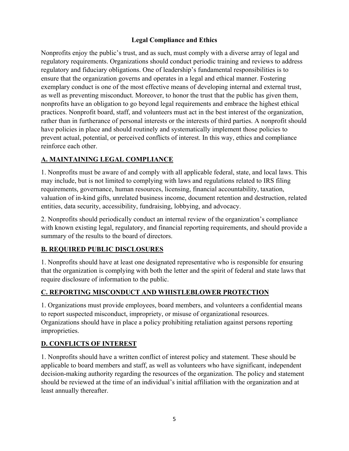#### **Legal Compliance and Ethics**

Nonprofits enjoy the public's trust, and as such, must comply with a diverse array of legal and regulatory requirements. Organizations should conduct periodic training and reviews to address regulatory and fiduciary obligations. One of leadership's fundamental responsibilities is to ensure that the organization governs and operates in a legal and ethical manner. Fostering exemplary conduct is one of the most effective means of developing internal and external trust, as well as preventing misconduct. Moreover, to honor the trust that the public has given them, nonprofits have an obligation to go beyond legal requirements and embrace the highest ethical practices. Nonprofit board, staff, and volunteers must act in the best interest of the organization, rather than in furtherance of personal interests or the interests of third parties. A nonprofit should have policies in place and should routinely and systematically implement those policies to prevent actual, potential, or perceived conflicts of interest. In this way, ethics and compliance reinforce each other.

#### **A. MAINTAINING LEGAL COMPLIANCE**

1. Nonprofits must be aware of and comply with all applicable federal, state, and local laws. This may include, but is not limited to complying with laws and regulations related to IRS filing requirements, governance, human resources, licensing, financial accountability, taxation, valuation of in-kind gifts, unrelated business income, document retention and destruction, related entities, data security, accessibility, fundraising, lobbying, and advocacy.

2. Nonprofits should periodically conduct an internal review of the organization's compliance with known existing legal, regulatory, and financial reporting requirements, and should provide a summary of the results to the board of directors.

#### **B. REQUIRED PUBLIC DISCLOSURES**

1. Nonprofits should have at least one designated representative who is responsible for ensuring that the organization is complying with both the letter and the spirit of federal and state laws that require disclosure of information to the public.

# **C. REPORTING MISCONDUCT AND WHISTLEBLOWER PROTECTION**

1. Organizations must provide employees, board members, and volunteers a confidential means to report suspected misconduct, impropriety, or misuse of organizational resources. Organizations should have in place a policy prohibiting retaliation against persons reporting improprieties.

# **D. CONFLICTS OF INTEREST**

1. Nonprofits should have a written conflict of interest policy and statement. These should be applicable to board members and staff, as well as volunteers who have significant, independent decision-making authority regarding the resources of the organization. The policy and statement should be reviewed at the time of an individual's initial affiliation with the organization and at least annually thereafter.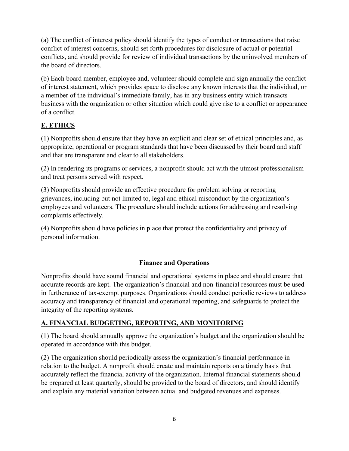(a) The conflict of interest policy should identify the types of conduct or transactions that raise conflict of interest concerns, should set forth procedures for disclosure of actual or potential conflicts, and should provide for review of individual transactions by the uninvolved members of the board of directors.

(b) Each board member, employee and, volunteer should complete and sign annually the conflict of interest statement, which provides space to disclose any known interests that the individual, or a member of the individual's immediate family, has in any business entity which transacts business with the organization or other situation which could give rise to a conflict or appearance of a conflict.

# **E. ETHICS**

(1) Nonprofits should ensure that they have an explicit and clear set of ethical principles and, as appropriate, operational or program standards that have been discussed by their board and staff and that are transparent and clear to all stakeholders.

(2) In rendering its programs or services, a nonprofit should act with the utmost professionalism and treat persons served with respect.

(3) Nonprofits should provide an effective procedure for problem solving or reporting grievances, including but not limited to, legal and ethical misconduct by the organization's employees and volunteers. The procedure should include actions for addressing and resolving complaints effectively.

(4) Nonprofits should have policies in place that protect the confidentiality and privacy of personal information.

# **Finance and Operations**

Nonprofits should have sound financial and operational systems in place and should ensure that accurate records are kept. The organization's financial and non-financial resources must be used in furtherance of tax-exempt purposes. Organizations should conduct periodic reviews to address accuracy and transparency of financial and operational reporting, and safeguards to protect the integrity of the reporting systems.

# **A. FINANCIAL BUDGETING, REPORTING, AND MONITORING**

(1) The board should annually approve the organization's budget and the organization should be operated in accordance with this budget.

(2) The organization should periodically assess the organization's financial performance in relation to the budget. A nonprofit should create and maintain reports on a timely basis that accurately reflect the financial activity of the organization. Internal financial statements should be prepared at least quarterly, should be provided to the board of directors, and should identify and explain any material variation between actual and budgeted revenues and expenses.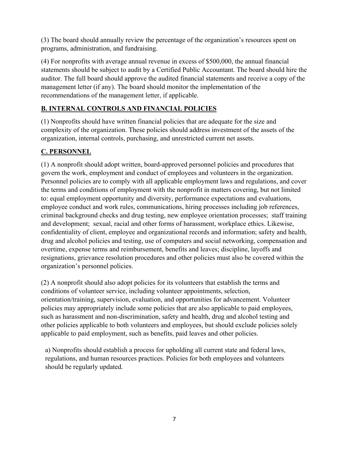(3) The board should annually review the percentage of the organization's resources spent on programs, administration, and fundraising.

(4) For nonprofits with average annual revenue in excess of \$500,000, the annual financial statements should be subject to audit by a Certified Public Accountant. The board should hire the auditor. The full board should approve the audited financial statements and receive a copy of the management letter (if any). The board should monitor the implementation of the recommendations of the management letter, if applicable.

# **B. INTERNAL CONTROLS AND FINANCIAL POLICIES**

(1) Nonprofits should have written financial policies that are adequate for the size and complexity of the organization. These policies should address investment of the assets of the organization, internal controls, purchasing, and unrestricted current net assets.

#### **C. PERSONNEL**

(1) A nonprofit should adopt written, board-approved personnel policies and procedures that govern the work, employment and conduct of employees and volunteers in the organization. Personnel policies are to comply with all applicable employment laws and regulations, and cover the terms and conditions of employment with the nonprofit in matters covering, but not limited to: equal employment opportunity and diversity, performance expectations and evaluations, employee conduct and work rules, communications, hiring processes including job references, criminal background checks and drug testing, new employee orientation processes; staff training and development; sexual, racial and other forms of harassment, workplace ethics. Likewise, confidentiality of client, employee and organizational records and information; safety and health, drug and alcohol policies and testing, use of computers and social networking, compensation and overtime, expense terms and reimbursement, benefits and leaves; discipline, layoffs and resignations, grievance resolution procedures and other policies must also be covered within the organization's personnel policies.

(2) A nonprofit should also adopt policies for its volunteers that establish the terms and conditions of volunteer service, including volunteer appointments, selection, orientation/training, supervision, evaluation, and opportunities for advancement. Volunteer policies may appropriately include some policies that are also applicable to paid employees, such as harassment and non-discrimination, safety and health, drug and alcohol testing and other policies applicable to both volunteers and employees, but should exclude policies solely applicable to paid employment, such as benefits, paid leaves and other policies.

a) Nonprofits should establish a process for upholding all current state and federal laws, regulations, and human resources practices. Policies for both employees and volunteers should be regularly updated.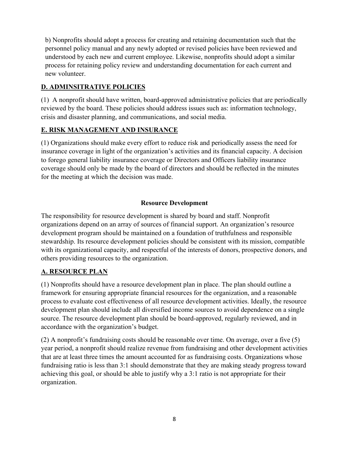b) Nonprofits should adopt a process for creating and retaining documentation such that the personnel policy manual and any newly adopted or revised policies have been reviewed and understood by each new and current employee. Likewise, nonprofits should adopt a similar process for retaining policy review and understanding documentation for each current and new volunteer.

## **D. ADMINSITRATIVE POLICIES**

(1) A nonprofit should have written, board-approved administrative policies that are periodically reviewed by the board. These policies should address issues such as: information technology, crisis and disaster planning, and communications, and social media.

#### **E. RISK MANAGEMENT AND INSURANCE**

(1) Organizations should make every effort to reduce risk and periodically assess the need for insurance coverage in light of the organization's activities and its financial capacity. A decision to forego general liability insurance coverage or Directors and Officers liability insurance coverage should only be made by the board of directors and should be reflected in the minutes for the meeting at which the decision was made.

#### **Resource Development**

The responsibility for resource development is shared by board and staff. Nonprofit organizations depend on an array of sources of financial support. An organization's resource development program should be maintained on a foundation of truthfulness and responsible stewardship. Its resource development policies should be consistent with its mission, compatible with its organizational capacity, and respectful of the interests of donors, prospective donors, and others providing resources to the organization.

#### **A. RESOURCE PLAN**

(1) Nonprofits should have a resource development plan in place. The plan should outline a framework for ensuring appropriate financial resources for the organization, and a reasonable process to evaluate cost effectiveness of all resource development activities. Ideally, the resource development plan should include all diversified income sources to avoid dependence on a single source. The resource development plan should be board-approved, regularly reviewed, and in accordance with the organization's budget.

(2) A nonprofit's fundraising costs should be reasonable over time. On average, over a five (5) year period, a nonprofit should realize revenue from fundraising and other development activities that are at least three times the amount accounted for as fundraising costs. Organizations whose fundraising ratio is less than 3:1 should demonstrate that they are making steady progress toward achieving this goal, or should be able to justify why a 3:1 ratio is not appropriate for their organization.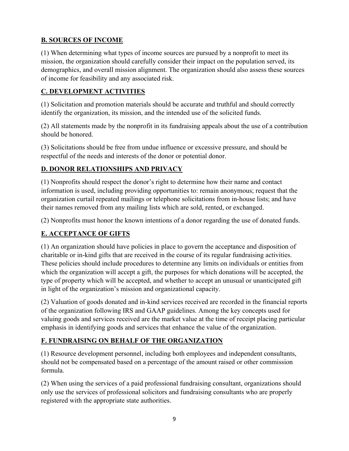# **B. SOURCES OF INCOME**

(1) When determining what types of income sources are pursued by a nonprofit to meet its mission, the organization should carefully consider their impact on the population served, its demographics, and overall mission alignment. The organization should also assess these sources of income for feasibility and any associated risk.

## **C. DEVELOPMENT ACTIVITIES**

(1) Solicitation and promotion materials should be accurate and truthful and should correctly identify the organization, its mission, and the intended use of the solicited funds.

(2) All statements made by the nonprofit in its fundraising appeals about the use of a contribution should be honored.

(3) Solicitations should be free from undue influence or excessive pressure, and should be respectful of the needs and interests of the donor or potential donor.

# **D. DONOR RELATIONSHIPS AND PRIVACY**

(1) Nonprofits should respect the donor's right to determine how their name and contact information is used, including providing opportunities to: remain anonymous; request that the organization curtail repeated mailings or telephone solicitations from in-house lists; and have their names removed from any mailing lists which are sold, rented, or exchanged.

(2) Nonprofits must honor the known intentions of a donor regarding the use of donated funds.

# **E. ACCEPTANCE OF GIFTS**

(1) An organization should have policies in place to govern the acceptance and disposition of charitable or in-kind gifts that are received in the course of its regular fundraising activities. These policies should include procedures to determine any limits on individuals or entities from which the organization will accept a gift, the purposes for which donations will be accepted, the type of property which will be accepted, and whether to accept an unusual or unanticipated gift in light of the organization's mission and organizational capacity.

(2) Valuation of goods donated and in-kind services received are recorded in the financial reports of the organization following IRS and GAAP guidelines. Among the key concepts used for valuing goods and services received are the market value at the time of receipt placing particular emphasis in identifying goods and services that enhance the value of the organization.

# **F. FUNDRAISING ON BEHALF OF THE ORGANIZATION**

(1) Resource development personnel, including both employees and independent consultants, should not be compensated based on a percentage of the amount raised or other commission formula.

(2) When using the services of a paid professional fundraising consultant, organizations should only use the services of professional solicitors and fundraising consultants who are properly registered with the appropriate state authorities.